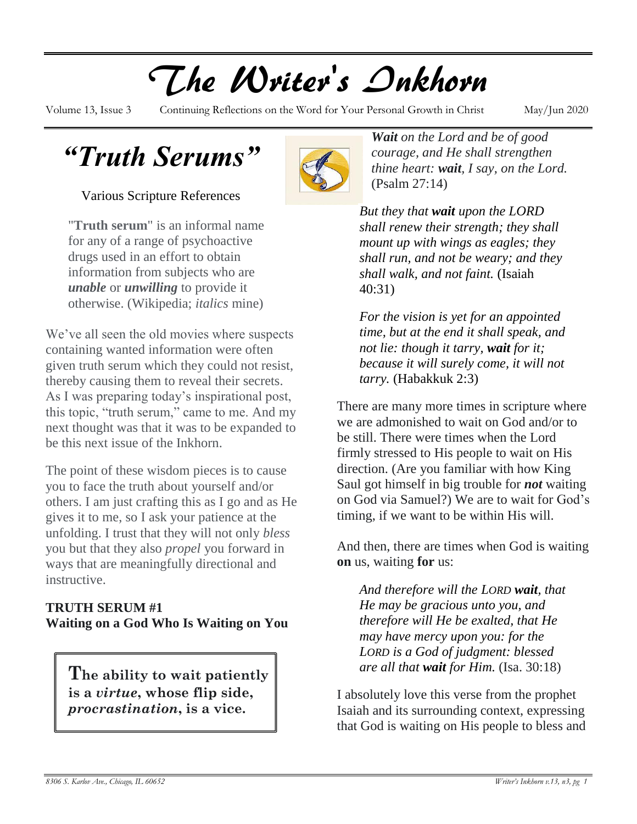# The Writer's Inkhorn

Volume 13, Issue 3 Continuing Reflections on the Word for Your Personal Growth in Christ May/Jun 2020

*"Truth Serums"*

Various Scripture References

"**Truth serum**" is an informal name for any of a range of psychoactive drugs used in an effort to obtain information from subjects who are *unable* or *unwilling* to provide it otherwise. (Wikipedia; *italics* mine)

We've all seen the old movies where suspects containing wanted information were often given truth serum which they could not resist, thereby causing them to reveal their secrets. As I was preparing today's inspirational post, this topic, "truth serum," came to me. And my next thought was that it was to be expanded to be this next issue of the Inkhorn.

The point of these wisdom pieces is to cause you to face the truth about yourself and/or others. I am just crafting this as I go and as He gives it to me, so I ask your patience at the unfolding. I trust that they will not only *bless* you but that they also *propel* you forward in ways that are meaningfully directional and instructive.

## **TRUTH SERUM #1 Waiting on a God Who Is Waiting on You**

**The ability to wait patiently is a** *virtue***, whose flip side,**  *procrastination***, is a vice.**



*Wait on the Lord and be of good courage, and He shall strengthen thine heart: wait, I say, on the Lord.* (Psalm 27:14)

*[B](http://www.google.com/imgres?start=261&sa=X&biw=1280&bih=868&tbm=isch&tbnid=yrspqUI2rNsM_M:&imgrefurl=http://www.imagekind.com/quill-pen-and-ink-well-with-paper-scroll-art?IMID%3De60d9a5d-f30d-443f-a595-36776e7aec44&docid=W4FfoZJ6lgYBXM&imgurl=http://thumbs.imagekind.com/frames/e60d9a5d-f30d-443f-a595-36776e7aec44/1/quill-pen-and-ink-well-with-paper-scroll_art.jpg?maxHeight%3D600%26maxWidth%3D600%26v%3D1372176360&w=605&h=564&ei=mEi8UrGDFcSwyQHP1oGABg&zoom=1&ved=1t:3588,r:62,s:200,i:190&iact=rc&page=9&tbnh=171&tbnw=184&ndsp=37&tx=104&ty=80)ut they that wait upon the LORD shall renew their strength; they shall mount up with wings as eagles; they shall run, and not be weary; and they shall walk, and not faint.* (Isaiah 40:31)

*For the vision is yet for an appointed time, but at the end it shall speak, and not lie: though it tarry, wait for it; because it will surely come, it will not tarry.* (Habakkuk 2:3)

There are many more times in scripture where we are admonished to wait on God and/or to be still. There were times when the Lord firmly stressed to His people to wait on His direction. (Are you familiar with how King Saul got himself in big trouble for *not* waiting on God via Samuel?) We are to wait for God's timing, if we want to be within His will.

And then, there are times when God is waiting **on** us, waiting **for** us:

*And therefore will the LORD wait, that He may be gracious unto you, and therefore will He be exalted, that He may have mercy upon you: for the LORD is a God of judgment: blessed are all that wait for Him.* (Isa. 30:18)

I absolutely love this verse from the prophet Isaiah and its surrounding context, expressing that God is waiting on His people to bless and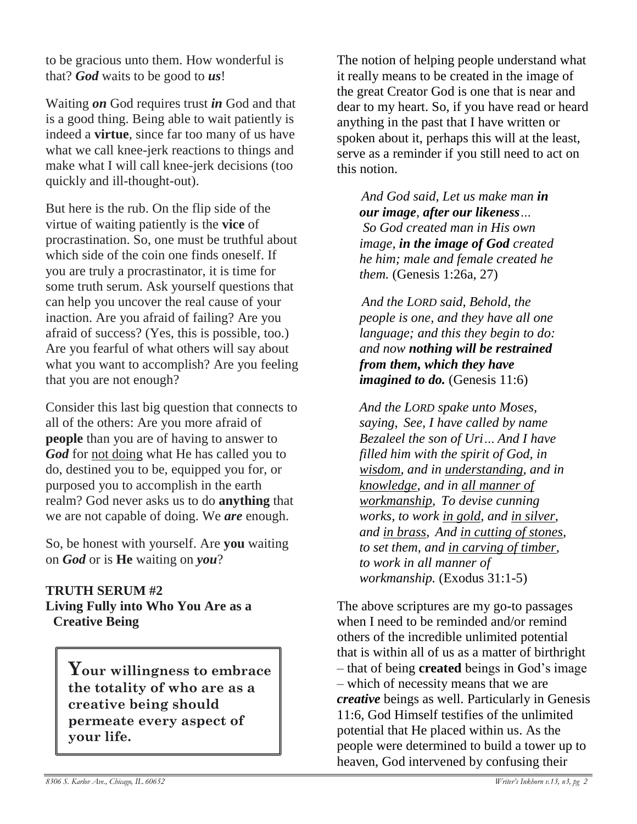to be gracious unto them. How wonderful is that? *God* waits to be good to *us*!

Waiting *on* God requires trust *in* God and that is a good thing. Being able to wait patiently is indeed a **virtue**, since far too many of us have what we call knee-jerk reactions to things and make what I will call knee-jerk decisions (too quickly and ill-thought-out).

But here is the rub. On the flip side of the virtue of waiting patiently is the **vice** of procrastination. So, one must be truthful about which side of the coin one finds oneself. If you are truly a procrastinator, it is time for some truth serum. Ask yourself questions that can help you uncover the real cause of your inaction. Are you afraid of failing? Are you afraid of success? (Yes, this is possible, too.) Are you fearful of what others will say about what you want to accomplish? Are you feeling that you are not enough?

Consider this last big question that connects to all of the others: Are you more afraid of **people** than you are of having to answer to *God* for not doing what He has called you to do, destined you to be, equipped you for, or purposed you to accomplish in the earth realm? God never asks us to do **anything** that we are not capable of doing. We *are* enough.

So, be honest with yourself. Are **you** waiting on *God* or is **He** waiting on *you*?

## **TRUTH SERUM #2**

**Living Fully into Who You Are as a Creative Being**

> **Your willingness to embrace the totality of who are as a creative being should permeate every aspect of your life.**

The notion of helping people understand what it really means to be created in the image of the great Creator God is one that is near and dear to my heart. So, if you have read or heard anything in the past that I have written or spoken about it, perhaps this will at the least, serve as a reminder if you still need to act on this notion.

*And God said, Let us make man in our image, after our likeness… So God created man in His own image, in the image of God created he him; male and female created he them.* (Genesis 1:26a, 27)

*And the LORD said, Behold, the people is one, and they have all one language; and this they begin to do: and now nothing will be restrained from them, which they have imagined to do.* (Genesis 11:6)

*And the LORD spake unto Moses, saying, See, I have called by name Bezaleel the son of Uri… And I have filled him with the spirit of God, in wisdom, and in understanding, and in knowledge, and in all manner of workmanship, To devise cunning works, to work in gold, and in silver, and in brass, And in cutting of stones, to set them, and in carving of timber, to work in all manner of workmanship.* (Exodus 31:1-5)

The above scriptures are my go-to passages when I need to be reminded and/or remind others of the incredible unlimited potential that is within all of us as a matter of birthright – that of being **created** beings in God's image – which of necessity means that we are *creative* beings as well. Particularly in Genesis 11:6, God Himself testifies of the unlimited potential that He placed within us. As the people were determined to build a tower up to heaven, God intervened by confusing their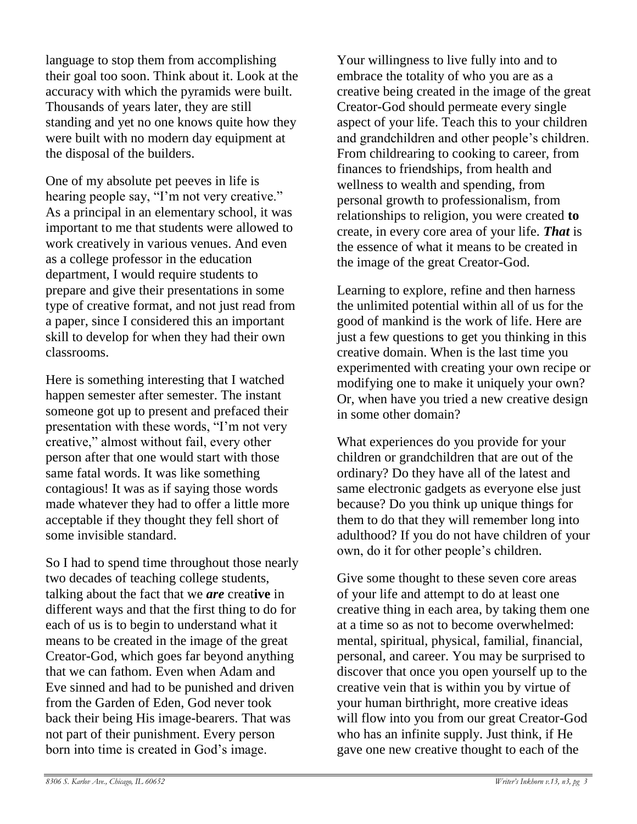language to stop them from accomplishing their goal too soon. Think about it. Look at the accuracy with which the pyramids were built. Thousands of years later, they are still standing and yet no one knows quite how they were built with no modern day equipment at the disposal of the builders.

One of my absolute pet peeves in life is hearing people say, "I'm not very creative." As a principal in an elementary school, it was important to me that students were allowed to work creatively in various venues. And even as a college professor in the education department, I would require students to prepare and give their presentations in some type of creative format, and not just read from a paper, since I considered this an important skill to develop for when they had their own classrooms.

Here is something interesting that I watched happen semester after semester. The instant someone got up to present and prefaced their presentation with these words, "I'm not very creative," almost without fail, every other person after that one would start with those same fatal words. It was like something contagious! It was as if saying those words made whatever they had to offer a little more acceptable if they thought they fell short of some invisible standard.

So I had to spend time throughout those nearly two decades of teaching college students, talking about the fact that we *are* creat**ive** in different ways and that the first thing to do for each of us is to begin to understand what it means to be created in the image of the great Creator-God, which goes far beyond anything that we can fathom. Even when Adam and Eve sinned and had to be punished and driven from the Garden of Eden, God never took back their being His image-bearers. That was not part of their punishment. Every person born into time is created in God's image.

Your willingness to live fully into and to embrace the totality of who you are as a creative being created in the image of the great Creator-God should permeate every single aspect of your life. Teach this to your children and grandchildren and other people's children. From childrearing to cooking to career, from finances to friendships, from health and wellness to wealth and spending, from personal growth to professionalism, from relationships to religion, you were created **to** create, in every core area of your life. *That* is the essence of what it means to be created in the image of the great Creator-God.

Learning to explore, refine and then harness the unlimited potential within all of us for the good of mankind is the work of life. Here are just a few questions to get you thinking in this creative domain. When is the last time you experimented with creating your own recipe or modifying one to make it uniquely your own? Or, when have you tried a new creative design in some other domain?

What experiences do you provide for your children or grandchildren that are out of the ordinary? Do they have all of the latest and same electronic gadgets as everyone else just because? Do you think up unique things for them to do that they will remember long into adulthood? If you do not have children of your own, do it for other people's children.

Give some thought to these seven core areas of your life and attempt to do at least one creative thing in each area, by taking them one at a time so as not to become overwhelmed: mental, spiritual, physical, familial, financial, personal, and career. You may be surprised to discover that once you open yourself up to the creative vein that is within you by virtue of your human birthright, more creative ideas will flow into you from our great Creator-God who has an infinite supply. Just think, if He gave one new creative thought to each of the